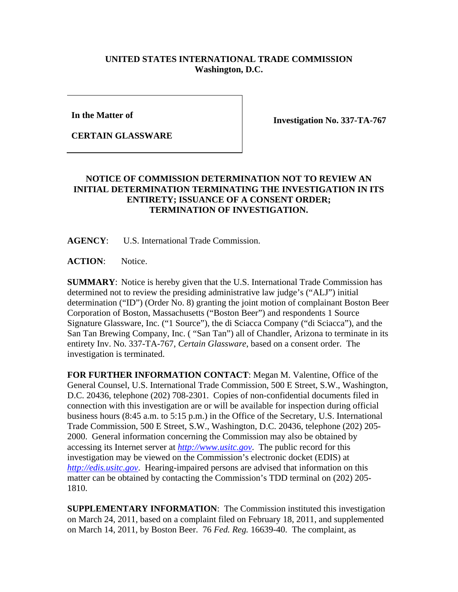## **UNITED STATES INTERNATIONAL TRADE COMMISSION Washington, D.C.**

**In the Matter of** 

**CERTAIN GLASSWARE**

**Investigation No. 337-TA-767** 

## **NOTICE OF COMMISSION DETERMINATION NOT TO REVIEW AN INITIAL DETERMINATION TERMINATING THE INVESTIGATION IN ITS ENTIRETY; ISSUANCE OF A CONSENT ORDER; TERMINATION OF INVESTIGATION.**

**AGENCY**: U.S. International Trade Commission.

**ACTION**: Notice.

**SUMMARY**: Notice is hereby given that the U.S. International Trade Commission has determined not to review the presiding administrative law judge's ("ALJ") initial determination ("ID") (Order No. 8) granting the joint motion of complainant Boston Beer Corporation of Boston, Massachusetts ("Boston Beer") and respondents 1 Source Signature Glassware, Inc. ("1 Source"), the di Sciacca Company ("di Sciacca"), and the San Tan Brewing Company, Inc. ( "San Tan") all of Chandler, Arizona to terminate in its entirety Inv. No. 337-TA-767, *Certain Glassware*, based on a consent order. The investigation is terminated.

**FOR FURTHER INFORMATION CONTACT**: Megan M. Valentine, Office of the General Counsel, U.S. International Trade Commission, 500 E Street, S.W., Washington, D.C. 20436, telephone (202) 708-2301. Copies of non-confidential documents filed in connection with this investigation are or will be available for inspection during official business hours (8:45 a.m. to 5:15 p.m.) in the Office of the Secretary, U.S. International Trade Commission, 500 E Street, S.W., Washington, D.C. 20436, telephone (202) 205- 2000. General information concerning the Commission may also be obtained by accessing its Internet server at *http://www.usitc.gov*. The public record for this investigation may be viewed on the Commission's electronic docket (EDIS) at *http://edis.usitc.gov*. Hearing-impaired persons are advised that information on this matter can be obtained by contacting the Commission's TDD terminal on (202) 205- 1810.

**SUPPLEMENTARY INFORMATION**: The Commission instituted this investigation on March 24, 2011, based on a complaint filed on February 18, 2011, and supplemented on March 14, 2011, by Boston Beer. 76 *Fed. Reg.* 16639-40. The complaint, as